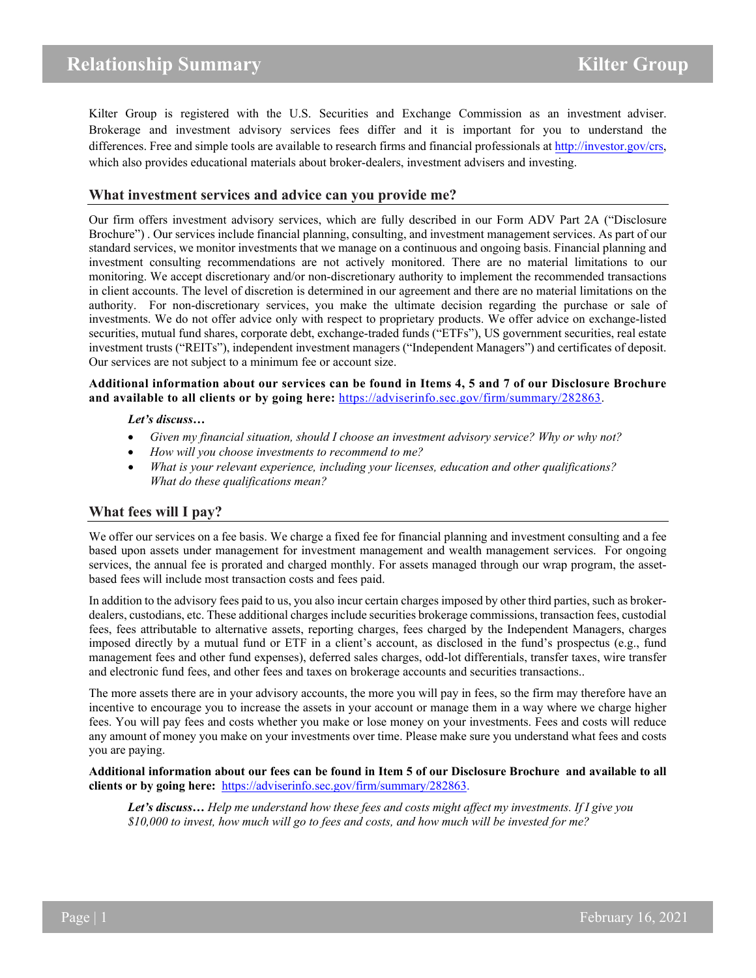Kilter Group is registered with the U.S. Securities and Exchange Commission as an investment adviser. Brokerage and investment advisory services fees differ and it is important for you to understand the differences. Free and simple tools are available to research firms and financial professionals a[t http://investor.gov/crs,](http://investor.gov/crs)  which also provides educational materials about broker-dealers, investment advisers and investing.

### **What investment services and advice can you provide me?**

Our firm offers investment advisory services, which are fully described in our Form ADV Part 2A ("Disclosure Brochure") . Our services include financial planning, consulting, and investment management services. As part of our standard services, we monitor investments that we manage on a continuous and ongoing basis. Financial planning and investment consulting recommendations are not actively monitored. There are no material limitations to our monitoring. We accept discretionary and/or non-discretionary authority to implement the recommended transactions in client accounts. The level of discretion is determined in our agreement and there are no material limitations on the authority. For non-discretionary services, you make the ultimate decision regarding the purchase or sale of investments. We do not offer advice only with respect to proprietary products. We offer advice on exchange-listed securities, mutual fund shares, corporate debt, exchange-traded funds ("ETFs"), US government securities, real estate investment trusts ("REITs"), independent investment managers ("Independent Managers") and certificates of deposit. Our services are not subject to a minimum fee or account size.

**Additional information about our services can be found in Items 4, 5 and 7 of our Disclosure Brochure and available to all clients or by going here:** [https://adviserinfo.sec.gov/firm/summary/282863.](https://adviserinfo.sec.gov/firm/summary/282863)

#### *Let's discuss…*

- *Given my financial situation, should I choose an investment advisory service? Why or why not?*
- *How will you choose investments to recommend to me?*
- *What is your relevant experience, including your licenses, education and other qualifications? What do these qualifications mean?*

## **What fees will I pay?**

We offer our services on a fee basis. We charge a fixed fee for financial planning and investment consulting and a fee based upon assets under management for investment management and wealth management services. For ongoing services, the annual fee is prorated and charged monthly. For assets managed through our wrap program, the assetbased fees will include most transaction costs and fees paid.

In addition to the advisory fees paid to us, you also incur certain charges imposed by other third parties, such as brokerdealers, custodians, etc. These additional charges include securities brokerage commissions, transaction fees, custodial fees, fees attributable to alternative assets, reporting charges, fees charged by the Independent Managers, charges imposed directly by a mutual fund or ETF in a client's account, as disclosed in the fund's prospectus (e.g., fund management fees and other fund expenses), deferred sales charges, odd-lot differentials, transfer taxes, wire transfer and electronic fund fees, and other fees and taxes on brokerage accounts and securities transactions..

The more assets there are in your advisory accounts, the more you will pay in fees, so the firm may therefore have an incentive to encourage you to increase the assets in your account or manage them in a way where we charge higher fees. You will pay fees and costs whether you make or lose money on your investments. Fees and costs will reduce any amount of money you make on your investments over time. Please make sure you understand what fees and costs you are paying.

**Additional information about our fees can be found in Item 5 of our Disclosure Brochure and available to all clients or by going here:** [https://adviserinfo.sec.gov/firm/summary/282863.](https://adviserinfo.sec.gov/firm/summary/282863)

*Let's discuss… Help me understand how these fees and costs might affect my investments. If I give you \$10,000 to invest, how much will go to fees and costs, and how much will be invested for me?*